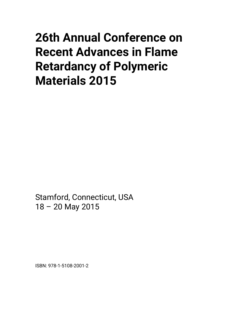# **26th Annual Conference on Recent Advances in Flame Retardancy of Polymeric Materials 2015**

Stamford, Connecticut, USA 18 – 20 May 2015

ISBN: 978-1-5108-2001-2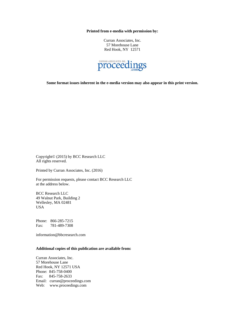**Printed from e-media with permission by:** 

Curran Associates, Inc. 57 Morehouse Lane Red Hook, NY 12571



**Some format issues inherent in the e-media version may also appear in this print version.** 

Copyright© (2015) by BCC Research LLC All rights reserved.

Printed by Curran Associates, Inc. (2016)

For permission requests, please contact BCC Research LLC at the address below.

BCC Research LLC 49 Walnut Park, Building 2 Wellesley, MA 02481 USA

Phone: 866-285-7215 Fax: 781-489-7308

information@bbcresearch.com

#### **Additional copies of this publication are available from:**

Curran Associates, Inc. 57 Morehouse Lane Red Hook, NY 12571 USA Phone: 845-758-0400 Fax: 845-758-2633 Email: curran@proceedings.com Web: www.proceedings.com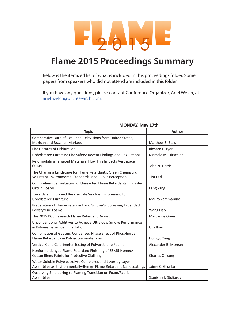

## **Flame 2015 Proceedings Summary**

Below is the itemized list of what is included in this proceedings folder. Some papers from speakers who did not attend are included in this folder.

If you have any questions, please contant Conference Organizer, Ariel Welch, at ariel.welch@bccresearch.com.

| <b>Topic</b>                                                                                                                    | <b>Author</b>          |
|---------------------------------------------------------------------------------------------------------------------------------|------------------------|
| Comparative Burn of Flat Panel Televisions from United States,<br><b>Mexican and Brazilian Markets</b>                          | Matthew S. Blais       |
| Fire Hazards of Lithium Ion                                                                                                     | Richard E. Lyon        |
| Upholstered Furniture Fire Safety: Recent Findings and Regulations                                                              | Marcelo M. Hirschler   |
| Reformulating Targeted Materials: How This Impacts Aerospace<br><b>OEMs</b>                                                     | John N. Harris         |
| The Changing Landscape for Flame Retardants: Green Chemistry,<br>Voluntary Environmental Standards, and Public Perception       | <b>Tim Earl</b>        |
| Comprehensive Evaluation of Unreacted Flame Retardants in Printed<br>Circuit Boards                                             | Feng Yang              |
| Towards an Improved Bench-scale Smoldering Scenario for<br><b>Upholstered Furniture</b>                                         | Mauro Zammarano        |
| Preparation of Flame-Retardant and Smoke-Suppressing Expanded<br>Polystyrene Foams                                              | Wang Liao              |
| The 2015 BCC Research Flame Retardant Report                                                                                    | Marcanne Green         |
| Unconventional Additives to Achieve Ultra-Low Smoke Performance<br>in Polyurethane Foam Insulation                              | Gus Ibay               |
| Combination of Gas and Condensed Phase Effect of Phosphorus<br>Flame Retardancy in Polyisocyanurate Foam                        | Hongyu Yang            |
| Vertical Cone Calorimeter Testing of Polyurethane Foams                                                                         | Alexander B. Morgan    |
| Nonformaldehyde Flame Retardant Finishing of 65/35 Nomex/<br>Cotton Blend Fabric for Protective Clothing                        | Charles Q. Yang        |
| Water-Soluble Polyelectrolyte Complexes and Layer-by-Layer<br>Assemblies as Environmentally-Benign Flame Retardant Nanocoatings | Jaime C. Grunlan       |
| Observing Smoldering-to Flaming Transition on Foam/Fabric<br>Assemblies                                                         | Stanislav I. Stoliarov |

#### **MONDAY, May 17th**